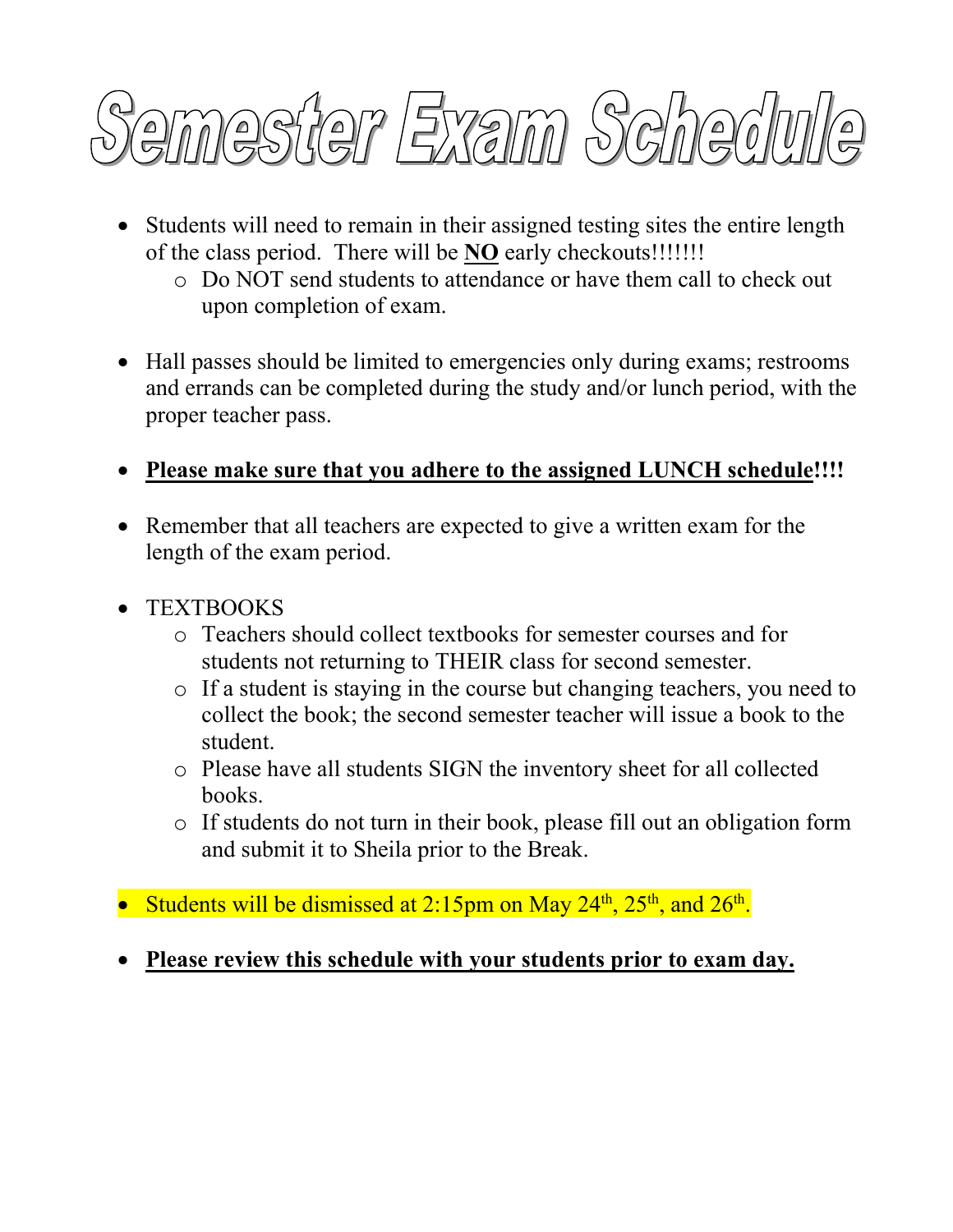

- Students will need to remain in their assigned testing sites the entire length of the class period. There will be **NO** early checkouts!!!!!!!
	- o Do NOT send students to attendance or have them call to check out upon completion of exam.
- Hall passes should be limited to emergencies only during exams; restrooms and errands can be completed during the study and/or lunch period, with the proper teacher pass.
- **Please make sure that you adhere to the assigned LUNCH schedule!!!!**
- Remember that all teachers are expected to give a written exam for the length of the exam period.
- TEXTBOOKS
	- o Teachers should collect textbooks for semester courses and for students not returning to THEIR class for second semester.
	- o If a student is staying in the course but changing teachers, you need to collect the book; the second semester teacher will issue a book to the student.
	- o Please have all students SIGN the inventory sheet for all collected books.
	- o If students do not turn in their book, please fill out an obligation form and submit it to Sheila prior to the Break.
- Students will be dismissed at 2:15pm on May  $24^{th}$ ,  $25^{th}$ , and  $26^{th}$ .
- **Please review this schedule with your students prior to exam day.**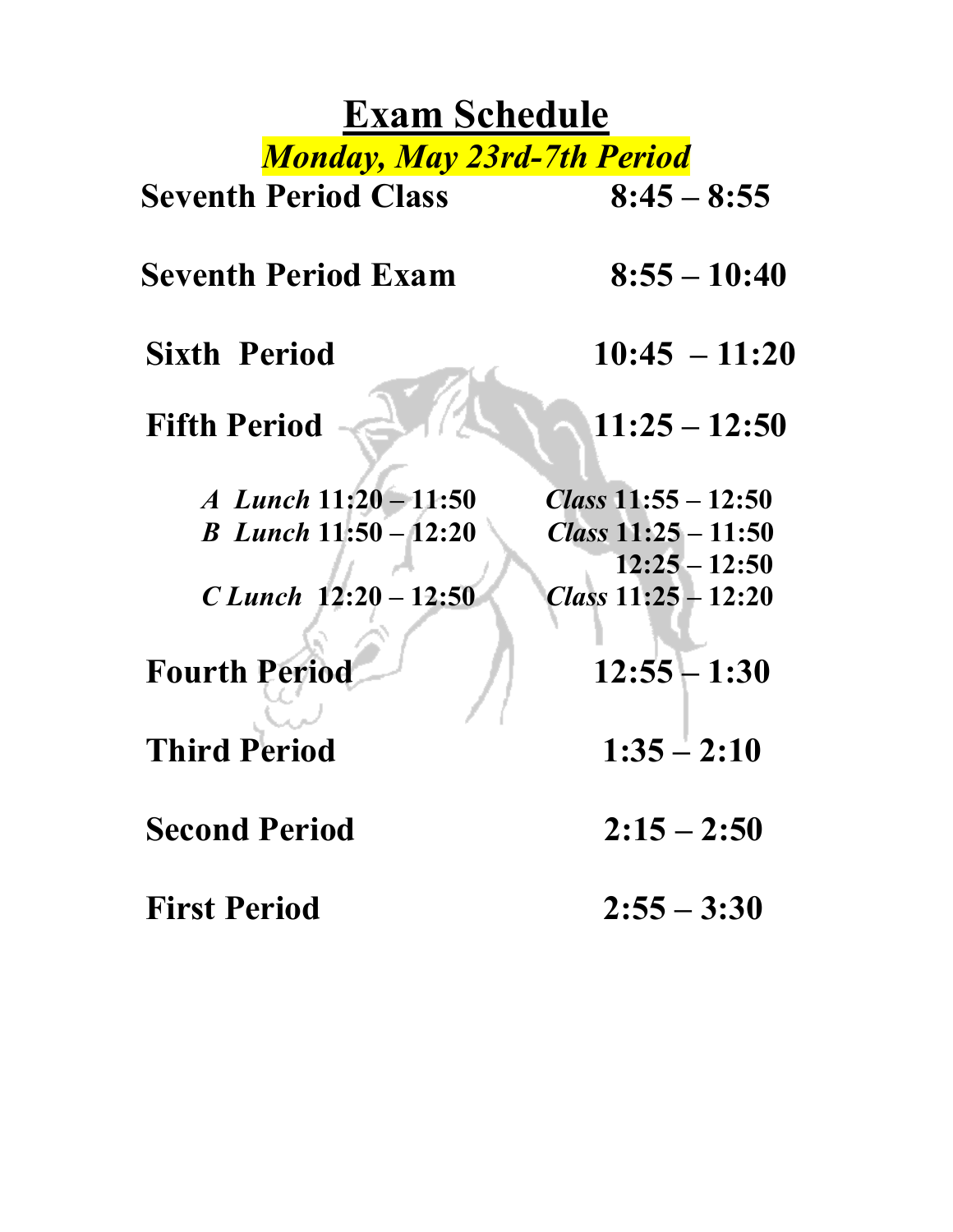## **Exam Schedule** *Monday, May 23rd-7th Period*

| <b>Seventh Period Class</b>    | $8:45 - 8:55$                            |
|--------------------------------|------------------------------------------|
| <b>Seventh Period Exam</b>     | $8:55 - 10:40$                           |
| <b>Sixth Period</b>            | $10:45 - 11:20$                          |
| <b>Fifth Period</b>            | $11:25 - 12:50$                          |
| A Lunch 11:20 - 11:50          | Class $11:55 - 12:50$                    |
| <b>B</b> Lunch $11:50 - 12:20$ | Class $11:25 - 11:50$                    |
| C Lunch $12:20 - 12:50$        | $12:25 - 12:50$<br>Class $11:25 - 12:20$ |
| <b>Fourth Period</b>           | $12:55 - 1:30$                           |
| <b>Third Period</b>            | $1:35 - 2:10$                            |
| <b>Second Period</b>           | $2:15 - 2:50$                            |
| <b>First Period</b>            | $2:55 - 3:30$                            |